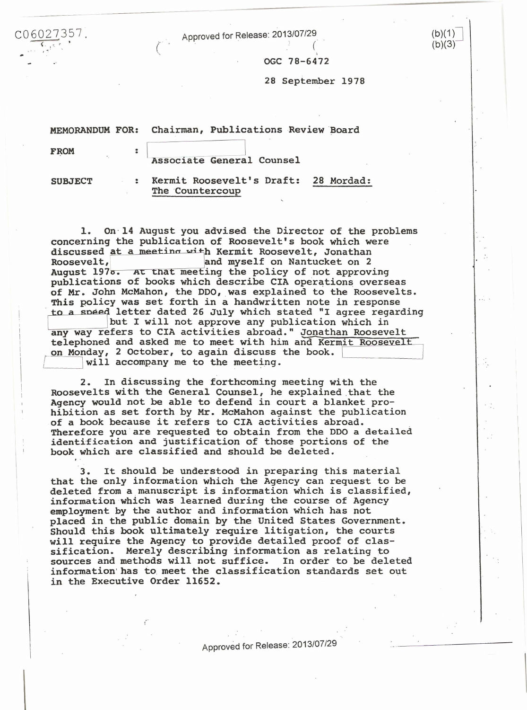C06027357.<br>Approved for Release: 2013/07/29<br>CCC 78–64

OGC 78-6472

28 September 1978

 $(b)(1)$  $(b)(3)$ 

|                | MEMORANDUM FOR: Chairman, Publications Review Board |
|----------------|-----------------------------------------------------|
| <b>FROM</b>    | Associate General Counsel                           |
| <b>SUBJECT</b> | : Kermit Roosevelt's Draft: 28 Mordad:              |

The Countercoup

1. On·l4 August you advised the Director of the problems concerning the publication of Roosevelt's book which were discussed at a meeting with Kermit Roosevelt, Jonathan Roosevelt, and myself on Nantucket on 2 August 1970. At that meeting the policy of not approving publications of books which describe CIA operations overseas of Mr. John McMahon, the DDO, was explained to the Roosevelts.<br>This policy was set forth in a handwritten note in response to a speed letter dated 26 July which stated "I agree regarding

but I will not approve any publication which in any way refers to CIA activities abroad." Jonathan Roosevelt telephoned and asked me to meet with him and Kermit Roosevelt on Monday, 2 October, to again discuss the book. will accompany me to the meeting.

2. In discussing the forthcoming meeting with the Roosevelts with the General Counsel, he explained that the Agency would not be able to defend in court a blanket prohibition as set forth by Mr. McMahon against the publication of a book because it refers to CIA activities abroad. Therefore you are requested to obtain from the DDO a detailed identification and justification of those portions of the book which are classified and should be deleted.

It should be understood in preparing this material that the only information which the Agency can request to be deleted from a manuscript is information which is classified, information which was learned during the course of Agency employment by the author and information which has not placed in the public domain by the United States Government. Should this book ultimately require litigation, the courts will require the Agency to provide detailed proof of classification. Merely describing information as relating to sources and methods will not suffice. In order to be deleted information' has to meet the classification standards set out in the Executive Order 11652.

 $\overline{\phantom{a}}$ 

Approved for Release: 2013/07/29